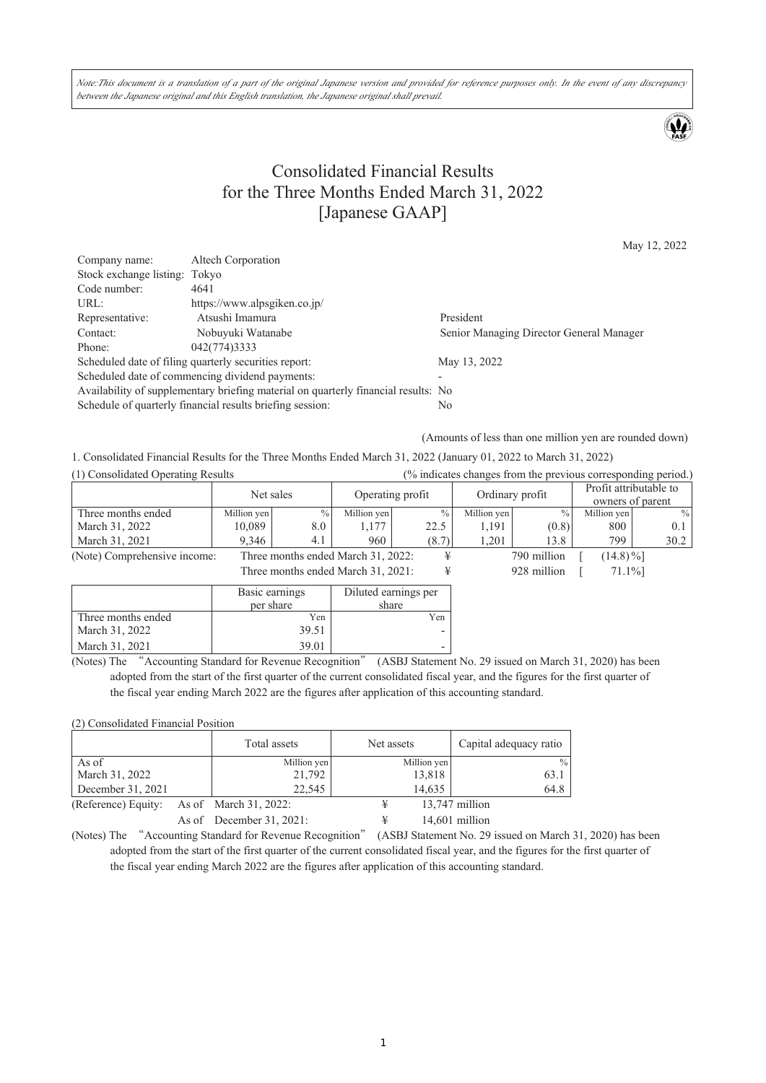Note:This document is a translation of a part of the original Japanese version and provided for reference purposes only. In the event of any discrepancy between the Japanese original and this English translation, the Japanese original shall prevail.

## Consolidated Financial Results for the Three Months Ended March 31, 2022 [Japanese GAAP]

May 12, 2022

| Company name:                                                                      | Altech Corporation                                        |                                          |  |  |
|------------------------------------------------------------------------------------|-----------------------------------------------------------|------------------------------------------|--|--|
| Stock exchange listing: Tokyo                                                      |                                                           |                                          |  |  |
| Code number:                                                                       | 4641                                                      |                                          |  |  |
| URL:                                                                               | https://www.alpsgiken.co.jp/                              |                                          |  |  |
| Representative:                                                                    | Atsushi Imamura                                           | President                                |  |  |
| Contact:                                                                           | Nobuyuki Watanabe                                         | Senior Managing Director General Manager |  |  |
| Phone:                                                                             | 042(774)3333                                              |                                          |  |  |
|                                                                                    | Scheduled date of filing quarterly securities report:     | May 13, 2022                             |  |  |
|                                                                                    | Scheduled date of commencing dividend payments:           |                                          |  |  |
| Availability of supplementary briefing material on quarterly financial results: No |                                                           |                                          |  |  |
|                                                                                    | Schedule of quarterly financial results briefing session: | No                                       |  |  |

(Amounts of less than one million yen are rounded down)

1. Consolidated Financial Results for the Three Months Ended March 31, 2022 (January 01, 2022 to March 31, 2022)

| (1) Consolidated Operating Results |                |               |                                    | (% indicates changes from the previous corresponding period.) |                 |               |                        |               |
|------------------------------------|----------------|---------------|------------------------------------|---------------------------------------------------------------|-----------------|---------------|------------------------|---------------|
|                                    | Net sales      |               | Operating profit                   |                                                               | Ordinary profit |               | Profit attributable to |               |
|                                    |                |               |                                    |                                                               |                 |               | owners of parent       |               |
| Three months ended                 | Million yen    | $\frac{0}{0}$ | Million yen                        | $\frac{0}{0}$                                                 | Million yen     | $\frac{0}{0}$ | Million yen            | $\frac{0}{0}$ |
| March 31, 2022                     | 10.089         | 8.0           | 1,177                              | 22.5                                                          | 1,191           | (0.8)         | 800                    | 0.1           |
| March 31, 2021                     | 9.346          | 4.1           | 960                                | (8.7)                                                         | 1.201           | 13.8          | 799                    | 30.2          |
| (Note) Comprehensive income:       |                |               | Three months ended March 31, 2022: | ¥                                                             |                 | 790 million   | $(14.8)\%$ ]           |               |
| Three months ended March 31, 2021: |                |               | ¥                                  |                                                               | 928 million     | 71.1%]        |                        |               |
|                                    | Basic earnings |               | Diluted earnings per               |                                                               |                 |               |                        |               |
|                                    | per share      |               | share                              |                                                               |                 |               |                        |               |
| Three months ended                 | Yen            |               |                                    | Yen                                                           |                 |               |                        |               |
| March 31, 2022                     |                | 39.51         |                                    |                                                               |                 |               |                        |               |
| March 31, 2021                     |                | 39.01         |                                    |                                                               |                 |               |                        |               |

(Notes) The "Accounting Standard for Revenue Recognition" (ASBJ Statement No. 29 issued on March 31, 2020) has been adopted from the start of the first quarter of the current consolidated fiscal year, and the figures for the first quarter of the fiscal year ending March 2022 are the figures after application of this accounting standard.

(2) Consolidated Financial Position

|                                           | Total assets                | Net assets  | Capital adequacy ratio |
|-------------------------------------------|-----------------------------|-------------|------------------------|
| As of                                     | Million yen                 | Million yen | $\frac{0}{0}$          |
| March 31, 2022                            | 21,792                      | 13,818      | 63.1                   |
| December 31, 2021                         | 22,545                      | 14,635      | 64.8                   |
| (Reference) Equity: As of March 31, 2022: |                             |             | $13,747$ million       |
|                                           | As of December $31, 2021$ : |             | $14,601$ million       |

(Notes) The "Accounting Standard for Revenue Recognition" (ASBJ Statement No. 29 issued on March 31, 2020) has been adopted from the start of the first quarter of the current consolidated fiscal year, and the figures for the first quarter of the fiscal year ending March 2022 are the figures after application of this accounting standard.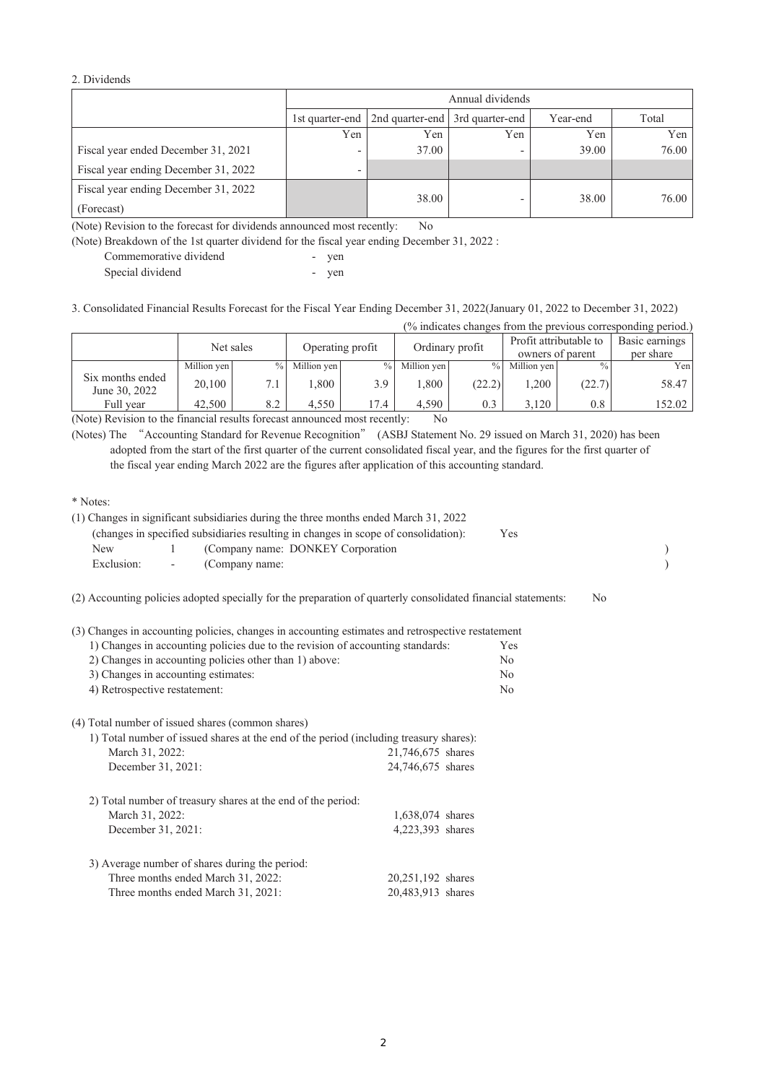## 2. Dividends

|                                      |                          | Annual dividends                                |                          |          |       |  |
|--------------------------------------|--------------------------|-------------------------------------------------|--------------------------|----------|-------|--|
|                                      |                          | 1st quarter-end 2nd quarter-end 3rd quarter-end |                          | Year-end | Total |  |
|                                      | Yen                      | Yen                                             | Yen                      | Yen      | Yen   |  |
| Fiscal year ended December 31, 2021  |                          | 37.00                                           | $\overline{\phantom{0}}$ | 39.00    | 76.00 |  |
| Fiscal year ending December 31, 2022 | $\overline{\phantom{0}}$ |                                                 |                          |          |       |  |
| Fiscal year ending December 31, 2022 |                          |                                                 |                          |          |       |  |
| (Forecast)                           |                          | 38.00                                           | $\overline{\phantom{0}}$ | 38.00    | 76.00 |  |

(Note) Revision to the forecast for dividends announced most recently: No

(Note) Breakdown of the 1st quarter dividend for the fiscal year ending December 31, 2022 :

| Commemorative dividend | yen |
|------------------------|-----|
| Special dividend       | yen |

3. Consolidated Financial Results Forecast for the Fiscal Year Ending December 31, 2022(January 01, 2022 to December 31, 2022)

| (% indicates changes from the previous corresponding period.) |  |  |  |
|---------------------------------------------------------------|--|--|--|
|                                                               |  |  |  |

|                                   | Net sales   |               | Operating profit |               |             | Ordinary profit | Profit attributable to | owners of parent | Basic earnings<br>per share |
|-----------------------------------|-------------|---------------|------------------|---------------|-------------|-----------------|------------------------|------------------|-----------------------------|
|                                   | Million yen | $\frac{0}{0}$ | Million yen      | $\frac{0}{0}$ | Million yen | $\frac{9}{6}$   | Million yen            | $\%$ .           | Yen <sub>1</sub>            |
| Six months ended<br>June 30, 2022 | 20,100      | 7.1           | $008$ .          | 3.9           | .,800       | (22.2)          | .200                   | (22.7)           | 58.47                       |
| Full vear                         | 42,500      | 8.2           | 4.550            | 17.4          | 4.590       | 0.3             | 3.120                  | $0.8\,$          | 152.02                      |

(Note) Revision to the financial results forecast announced most recently: No

(Notes) The "Accounting Standard for Revenue Recognition" (ASBJ Statement No. 29 issued on March 31, 2020) has been adopted from the start of the first quarter of the current consolidated fiscal year, and the figures for the first quarter of the fiscal year ending March 2022 are the figures after application of this accounting standard.

\* Notes:

|            |                          | (changes in specified subsidiaries resulting in changes in scope of consolidation):<br>Yes                    |    |  |
|------------|--------------------------|---------------------------------------------------------------------------------------------------------------|----|--|
| New        |                          | (Company name: DONKEY Corporation)                                                                            |    |  |
| Exclusion: | $\overline{\phantom{a}}$ | (Company name:                                                                                                |    |  |
|            |                          | (2) Accounting policies adopted specially for the preparation of quarterly consolidated financial statements: | No |  |

(3) Changes in accounting policies, changes in accounting estimates and retrospective restatement

| 1) Changes in accounting policies due to the revision of accounting standards: | <b>Yes</b> |
|--------------------------------------------------------------------------------|------------|
| 2) Changes in accounting policies other than 1) above:                         | No.        |
| 3) Changes in accounting estimates:                                            | No         |
| 4) Retrospective restatement:                                                  | No         |
|                                                                                |            |

(4) Total number of issued shares (common shares)

| 1) Total number of issued shares at the end of the period (including treasury shares): |                   |  |  |  |
|----------------------------------------------------------------------------------------|-------------------|--|--|--|
| March 31, 2022:                                                                        | 21,746,675 shares |  |  |  |
| December 31, 2021:                                                                     | 24,746,675 shares |  |  |  |
| 2) Total number of treasury shares at the end of the period:                           |                   |  |  |  |
| March 31, 2022:                                                                        | 1,638,074 shares  |  |  |  |
| December 31, 2021:                                                                     | 4,223,393 shares  |  |  |  |
| 3) Average number of shares during the period:                                         |                   |  |  |  |
| Three months ended March 31, 2022:                                                     | 20,251,192 shares |  |  |  |
| Three months ended March 31, 2021:                                                     | 20,483,913 shares |  |  |  |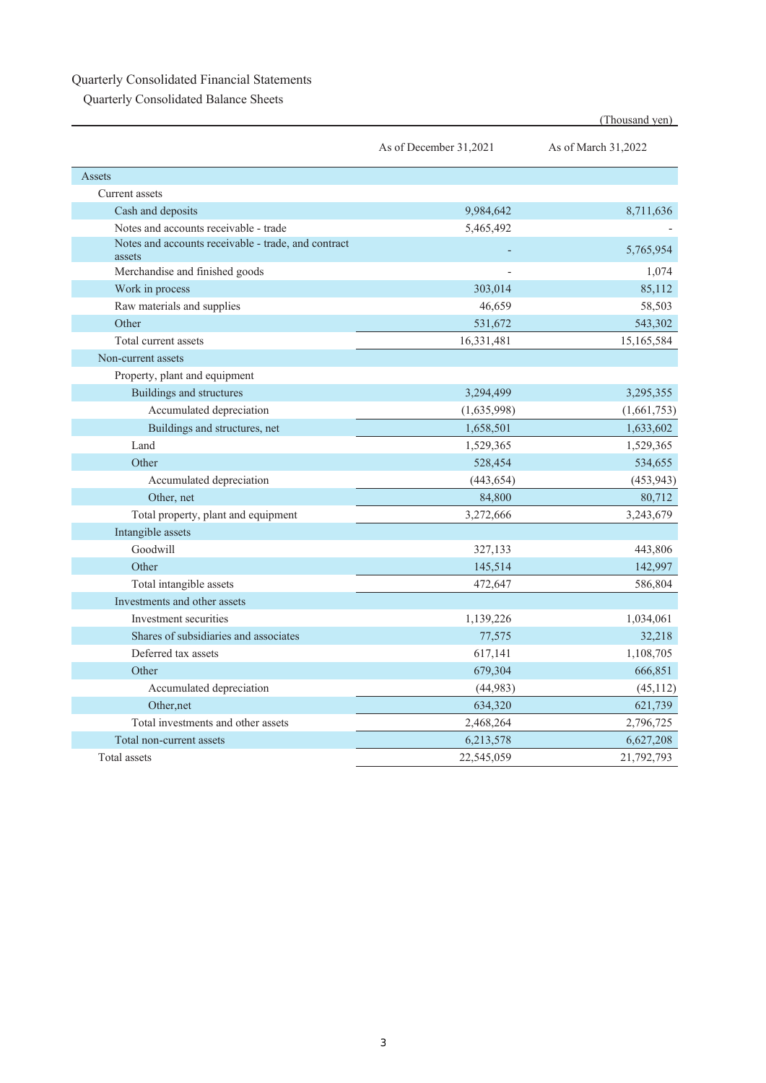## Quarterly Consolidated Financial Statements

Quarterly Consolidated Balance Sheets

|                                                               |                        | (Thousand yen)      |
|---------------------------------------------------------------|------------------------|---------------------|
|                                                               | As of December 31,2021 | As of March 31,2022 |
| Assets                                                        |                        |                     |
| Current assets                                                |                        |                     |
| Cash and deposits                                             | 9,984,642              | 8,711,636           |
| Notes and accounts receivable - trade                         | 5,465,492              |                     |
| Notes and accounts receivable - trade, and contract<br>assets |                        | 5,765,954           |
| Merchandise and finished goods                                |                        | 1,074               |
| Work in process                                               | 303,014                | 85,112              |
| Raw materials and supplies                                    | 46,659                 | 58,503              |
| Other                                                         | 531,672                | 543,302             |
| Total current assets                                          | 16,331,481             | 15,165,584          |
| Non-current assets                                            |                        |                     |
| Property, plant and equipment                                 |                        |                     |
| <b>Buildings and structures</b>                               | 3,294,499              | 3,295,355           |
| Accumulated depreciation                                      | (1,635,998)            | (1,661,753)         |
| Buildings and structures, net                                 | 1,658,501              | 1,633,602           |
| Land                                                          | 1,529,365              | 1,529,365           |
| Other                                                         | 528,454                | 534,655             |
| Accumulated depreciation                                      | (443, 654)             | (453, 943)          |
| Other, net                                                    | 84,800                 | 80,712              |
| Total property, plant and equipment                           | 3,272,666              | 3,243,679           |
| Intangible assets                                             |                        |                     |
| Goodwill                                                      | 327,133                | 443,806             |
| Other                                                         | 145,514                | 142,997             |
| Total intangible assets                                       | 472,647                | 586,804             |
| Investments and other assets                                  |                        |                     |
| Investment securities                                         | 1,139,226              | 1,034,061           |
| Shares of subsidiaries and associates                         | 77,575                 | 32,218              |
| Deferred tax assets                                           | 617,141                | 1,108,705           |
| Other                                                         | 679,304                | 666,851             |
| Accumulated depreciation                                      | (44, 983)              | (45, 112)           |
| Other.net                                                     | 634,320                | 621,739             |
| Total investments and other assets                            | 2,468,264              | 2,796,725           |
| Total non-current assets                                      | 6,213,578              | 6,627,208           |
| Total assets                                                  | 22,545,059             | 21,792,793          |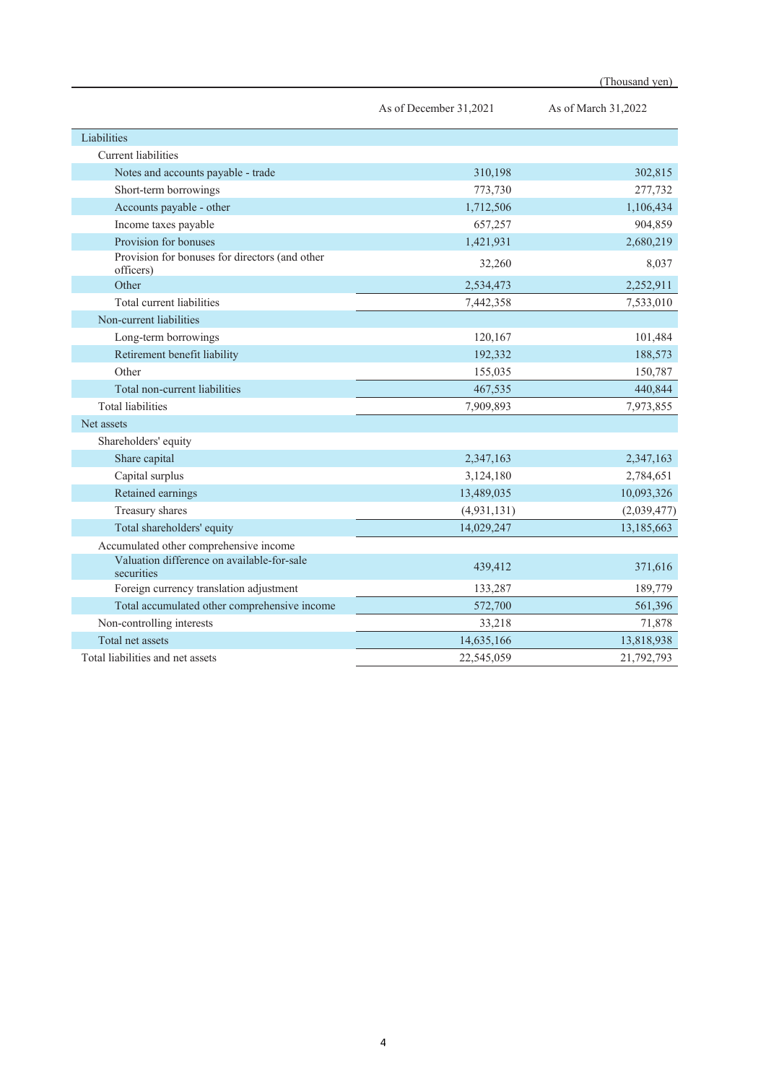|                        | (Thousand yen)      |
|------------------------|---------------------|
| As of December 31,2021 | As of March 31,2022 |
|                        |                     |
|                        |                     |
| 310,198                | 302,815             |
| 773,730                | 277,732             |
| 1,712,506              | 1,106,434           |
| 657,257                | 904,859             |
| 1.421.931              | 2.680.219           |

| Accounts payable - other                                    | 1,712,506   | 1,106,434   |
|-------------------------------------------------------------|-------------|-------------|
| Income taxes payable                                        | 657,257     | 904,859     |
| Provision for bonuses                                       | 1,421,931   | 2,680,219   |
| Provision for bonuses for directors (and other<br>officers) | 32,260      | 8,037       |
| Other                                                       | 2,534,473   | 2,252,911   |
| Total current liabilities                                   | 7,442,358   | 7,533,010   |
| Non-current liabilities                                     |             |             |
| Long-term borrowings                                        | 120,167     | 101,484     |
| Retirement benefit liability                                | 192,332     | 188,573     |
| Other                                                       | 155,035     | 150,787     |
| Total non-current liabilities                               | 467,535     | 440,844     |
| <b>Total liabilities</b>                                    | 7,909,893   | 7,973,855   |
| Net assets                                                  |             |             |
| Shareholders' equity                                        |             |             |
| Share capital                                               | 2,347,163   | 2,347,163   |
| Capital surplus                                             | 3,124,180   | 2,784,651   |
| Retained earnings                                           | 13,489,035  | 10,093,326  |
| Treasury shares                                             | (4,931,131) | (2,039,477) |
| Total shareholders' equity                                  | 14,029,247  | 13,185,663  |
| Accumulated other comprehensive income                      |             |             |
| Valuation difference on available-for-sale<br>securities    | 439,412     | 371,616     |
| Foreign currency translation adjustment                     | 133,287     | 189,779     |
| Total accumulated other comprehensive income                | 572,700     | 561,396     |
| Non-controlling interests                                   | 33,218      | 71,878      |
| Total net assets                                            | 14,635,166  | 13,818,938  |
| Total liabilities and net assets                            | 22,545,059  | 21,792,793  |

**Liabilities** 

Current liabilities

Notes and accounts payable - trade

Short-term borrowings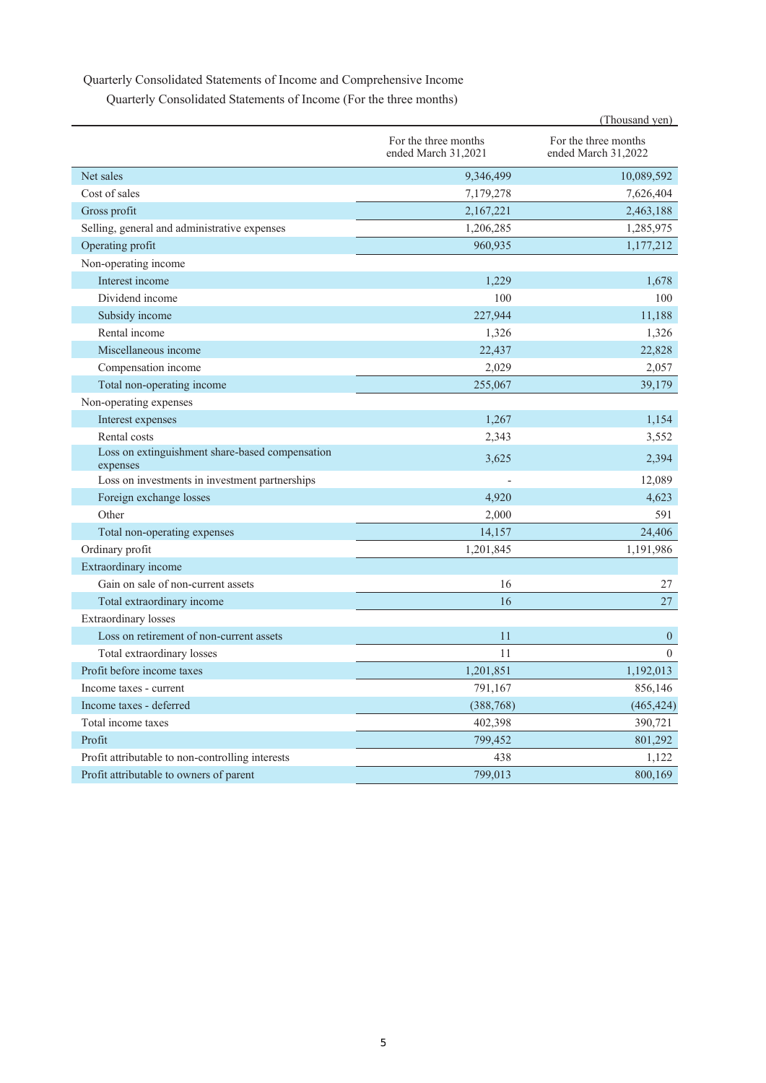## Quarterly Consolidated Statements of Income and Comprehensive Income

|  | Quarterly Consolidated Statements of Income (For the three months) |  |
|--|--------------------------------------------------------------------|--|
|--|--------------------------------------------------------------------|--|

|                                                             |                                             | (Thousand yen)                              |
|-------------------------------------------------------------|---------------------------------------------|---------------------------------------------|
|                                                             | For the three months<br>ended March 31,2021 | For the three months<br>ended March 31,2022 |
| Net sales                                                   | 9,346,499                                   | 10,089,592                                  |
| Cost of sales                                               | 7,179,278                                   | 7,626,404                                   |
| Gross profit                                                | 2,167,221                                   | 2,463,188                                   |
| Selling, general and administrative expenses                | 1,206,285                                   | 1,285,975                                   |
| Operating profit                                            | 960,935                                     | 1,177,212                                   |
| Non-operating income                                        |                                             |                                             |
| Interest income                                             | 1,229                                       | 1,678                                       |
| Dividend income                                             | 100                                         | 100                                         |
| Subsidy income                                              | 227,944                                     | 11,188                                      |
| Rental income                                               | 1,326                                       | 1,326                                       |
| Miscellaneous income                                        | 22,437                                      | 22,828                                      |
| Compensation income                                         | 2,029                                       | 2,057                                       |
| Total non-operating income                                  | 255,067                                     | 39,179                                      |
| Non-operating expenses                                      |                                             |                                             |
| Interest expenses                                           | 1,267                                       | 1,154                                       |
| Rental costs                                                | 2,343                                       | 3,552                                       |
| Loss on extinguishment share-based compensation<br>expenses | 3,625                                       | 2,394                                       |
| Loss on investments in investment partnerships              |                                             | 12,089                                      |
| Foreign exchange losses                                     | 4,920                                       | 4,623                                       |
| Other                                                       | 2,000                                       | 591                                         |
| Total non-operating expenses                                | 14,157                                      | 24,406                                      |
| Ordinary profit                                             | 1,201,845                                   | 1,191,986                                   |
| Extraordinary income                                        |                                             |                                             |
| Gain on sale of non-current assets                          | 16                                          | 27                                          |
| Total extraordinary income                                  | 16                                          | 27                                          |
| <b>Extraordinary</b> losses                                 |                                             |                                             |
| Loss on retirement of non-current assets                    | 11                                          | $\mathbf{0}$                                |
| Total extraordinary losses                                  | 11                                          | $\Omega$                                    |
| Profit before income taxes                                  | 1,201,851                                   | 1,192,013                                   |
| Income taxes - current                                      | 791,167                                     | 856,146                                     |
| Income taxes - deferred                                     | (388, 768)                                  | (465, 424)                                  |
| Total income taxes                                          | 402,398                                     | 390,721                                     |
| Profit                                                      | 799,452                                     | 801,292                                     |
| Profit attributable to non-controlling interests            | 438                                         | 1,122                                       |
| Profit attributable to owners of parent                     | 799,013                                     | 800,169                                     |